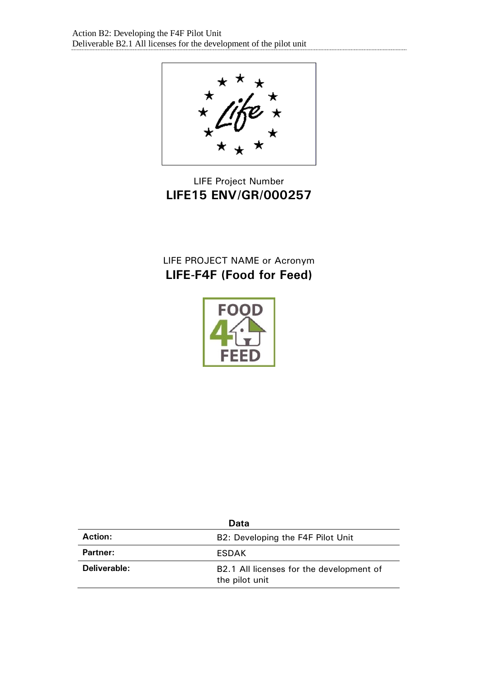Action Β2: Developing the F4F Pilot Unit Deliverable B2.1 All licenses for the development of the pilot unit



# LIFE Project Number **LIFE15 ENV/GR/000257**

## LIFE PROJECT NAME or Acronym **LIFE-F4F (Food for Feed)**



| Data           |                                                            |
|----------------|------------------------------------------------------------|
| <b>Action:</b> | B2: Developing the F4F Pilot Unit                          |
| Partner:       | ESDAK                                                      |
| Deliverable:   | B2.1 All licenses for the development of<br>the pilot unit |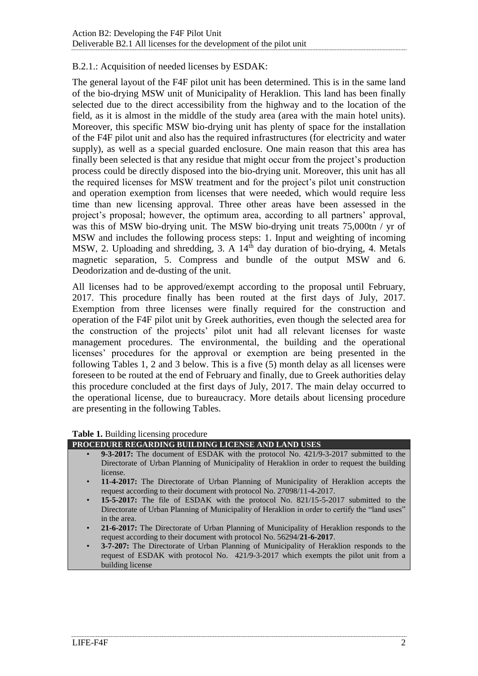### B.2.1.: Acquisition of needed licenses by ESDAK:

The general layout of the F4F pilot unit has been determined. This is in the same land of the bio-drying MSW unit of Municipality of Heraklion. This land has been finally selected due to the direct accessibility from the highway and to the location of the field, as it is almost in the middle of the study area (area with the main hotel units). Moreover, this specific MSW bio-drying unit has plenty of space for the installation of the F4F pilot unit and also has the required infrastructures (for electricity and water supply), as well as a special guarded enclosure. One main reason that this area has finally been selected is that any residue that might occur from the project's production process could be directly disposed into the bio-drying unit. Moreover, this unit has all the required licenses for MSW treatment and for the project's pilot unit construction and operation exemption from licenses that were needed, which would require less time than new licensing approval. Three other areas have been assessed in the project's proposal; however, the optimum area, according to all partners' approval, was this of MSW bio-drying unit. The MSW bio-drying unit treats 75,000tn / yr of MSW and includes the following process steps: 1. Input and weighting of incoming MSW, 2. Uploading and shredding, 3. A  $14<sup>th</sup>$  day duration of bio-drying, 4. Metals magnetic separation, 5. Compress and bundle of the output MSW and 6. Deodorization and de-dusting of the unit.

All licenses had to be approved/exempt according to the proposal until February, 2017. This procedure finally has been routed at the first days of July, 2017. Exemption from three licenses were finally required for the construction and operation of the F4F pilot unit by Greek authorities, even though the selected area for the construction of the projects' pilot unit had all relevant licenses for waste management procedures. The environmental, the building and the operational licenses' procedures for the approval or exemption are being presented in the following Tables 1, 2 and 3 below. This is a five (5) month delay as all licenses were foreseen to be routed at the end of February and finally, due to Greek authorities delay this procedure concluded at the first days of July, 2017. The main delay occurred to the operational license, due to bureaucracy. More details about licensing procedure are presenting in the following Tables.

**Table 1.** Building licensing procedure

#### **PROCEDURE REGARDING BUILDING LICENSE AND LAND USES**

- **9-3-2017:** The document of ESDAK with the protocol No. 421/9-3-2017 submitted to the Directorate of Urban Planning of Municipality of Heraklion in order to request the building license.
- **11-4-2017:** The Directorate of Urban Planning of Municipality of Heraklion accepts the request according to their document with protocol No. 27098/11-4-2017.
- **15-5-2017:** The file of ESDAK with the protocol No. 821/15-5-2017 submitted to the Directorate of Urban Planning of Municipality of Heraklion in order to certify the "land uses" in the area.
- **21-6-2017:** The Directorate of Urban Planning of Municipality of Heraklion responds to the request according to their document with protocol No. 56294/**21-6-2017**.
- **3-7-207:** The Directorate of Urban Planning of Municipality of Heraklion responds to the request of ESDAK with protocol No. 421/9-3-2017 which exempts the pilot unit from a building license